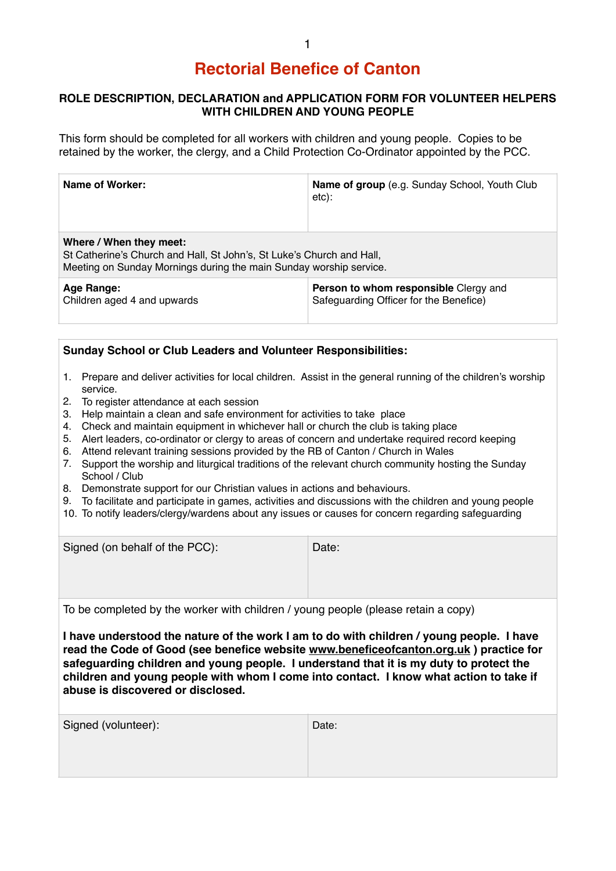## **Rectorial Benefice of Canton**

## **ROLE DESCRIPTION, DECLARATION and APPLICATION FORM FOR VOLUNTEER HELPERS WITH CHILDREN AND YOUNG PEOPLE**

This form should be completed for all workers with children and young people. Copies to be retained by the worker, the clergy, and a Child Protection Co-Ordinator appointed by the PCC.

| Name of Worker:                                                                                                                                                        | Name of group (e.g. Sunday School, Youth Club<br>$etc)$ :                       |  |
|------------------------------------------------------------------------------------------------------------------------------------------------------------------------|---------------------------------------------------------------------------------|--|
| Where / When they meet:<br>St Catherine's Church and Hall, St John's, St Luke's Church and Hall,<br>Meeting on Sunday Mornings during the main Sunday worship service. |                                                                                 |  |
| Age Range:<br>Children aged 4 and upwards                                                                                                                              | Person to whom responsible Clergy and<br>Safeguarding Officer for the Benefice) |  |

| <b>Sunday School or Club Leaders and Volunteer Responsibilities:</b>                                                                                                                                                                                                                                                                                                                                                                                                                                                                                                                                                                                                                                                                                                                                                                                                                                                                                                                 |  |  |
|--------------------------------------------------------------------------------------------------------------------------------------------------------------------------------------------------------------------------------------------------------------------------------------------------------------------------------------------------------------------------------------------------------------------------------------------------------------------------------------------------------------------------------------------------------------------------------------------------------------------------------------------------------------------------------------------------------------------------------------------------------------------------------------------------------------------------------------------------------------------------------------------------------------------------------------------------------------------------------------|--|--|
| 1. Prepare and deliver activities for local children. Assist in the general running of the children's worship<br>service.<br>To register attendance at each session<br>2.<br>Help maintain a clean and safe environment for activities to take place<br>3.<br>Check and maintain equipment in whichever hall or church the club is taking place<br>4.<br>Alert leaders, co-ordinator or clergy to areas of concern and undertake required record keeping<br>5.<br>Attend relevant training sessions provided by the RB of Canton / Church in Wales<br>6.<br>Support the worship and liturgical traditions of the relevant church community hosting the Sunday<br>7.<br>School / Club<br>8. Demonstrate support for our Christian values in actions and behaviours.<br>9. To facilitate and participate in games, activities and discussions with the children and young people<br>10. To notify leaders/clergy/wardens about any issues or causes for concern regarding safeguarding |  |  |
| Signed (on behalf of the PCC):<br>Date:                                                                                                                                                                                                                                                                                                                                                                                                                                                                                                                                                                                                                                                                                                                                                                                                                                                                                                                                              |  |  |
| To be completed by the worker with children / young people (please retain a copy)                                                                                                                                                                                                                                                                                                                                                                                                                                                                                                                                                                                                                                                                                                                                                                                                                                                                                                    |  |  |
| I have understood the nature of the work I am to do with children / young people. I have<br>read the Code of Good (see benefice website www.beneficeofcanton.org.uk) practice for<br>safeguarding children and young people. I understand that it is my duty to protect the<br>children and young people with whom I come into contact. I know what action to take if<br>abuse is discovered or disclosed.                                                                                                                                                                                                                                                                                                                                                                                                                                                                                                                                                                           |  |  |

| Signed (volunteer): | Date: |
|---------------------|-------|
|                     |       |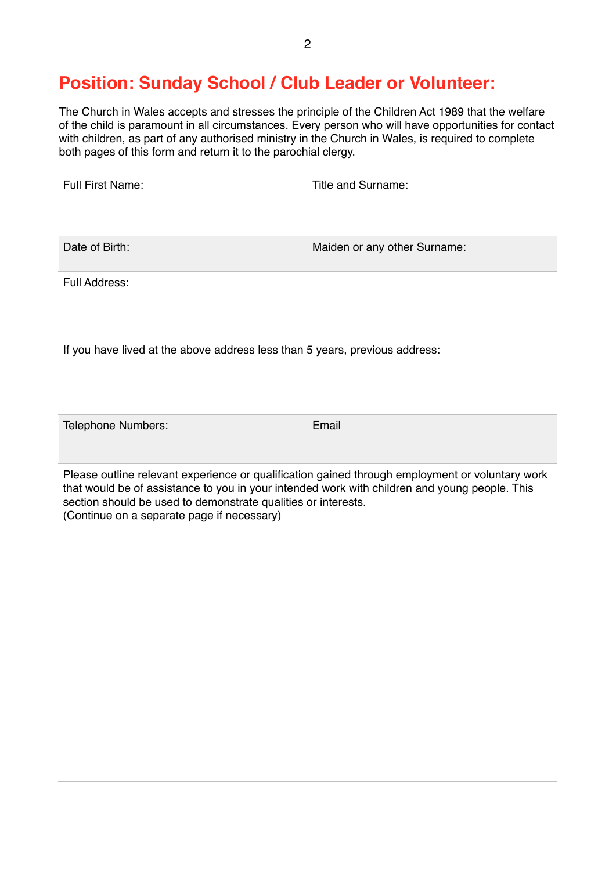## **Position: Sunday School / Club Leader or Volunteer:**

The Church in Wales accepts and stresses the principle of the Children Act 1989 that the welfare of the child is paramount in all circumstances. Every person who will have opportunities for contact with children, as part of any authorised ministry in the Church in Wales, is required to complete both pages of this form and return it to the parochial clergy.

| Full First Name:                                                                                                                                                                                                                                                                                                | Title and Surname:           |  |
|-----------------------------------------------------------------------------------------------------------------------------------------------------------------------------------------------------------------------------------------------------------------------------------------------------------------|------------------------------|--|
| Date of Birth:                                                                                                                                                                                                                                                                                                  | Maiden or any other Surname: |  |
| Full Address:                                                                                                                                                                                                                                                                                                   |                              |  |
| If you have lived at the above address less than 5 years, previous address:                                                                                                                                                                                                                                     |                              |  |
| Telephone Numbers:                                                                                                                                                                                                                                                                                              | Email                        |  |
| Please outline relevant experience or qualification gained through employment or voluntary work<br>that would be of assistance to you in your intended work with children and young people. This<br>section should be used to demonstrate qualities or interests.<br>(Continue on a separate page if necessary) |                              |  |